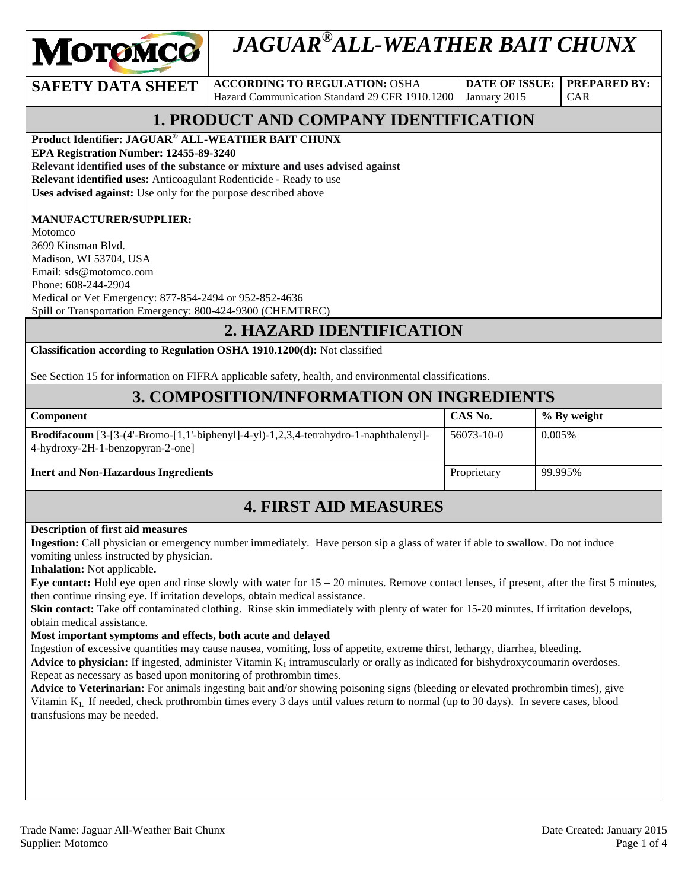

# *JAGUAR®ALL-WEATHER BAIT CHUNX*

**SAFETY DATA SHEET** ACCORDING TO REGULATION: OSHA Hazard Communication Standard 29 CFR 1910.1200

**DATE OF ISSUE:**  January 2015

**PREPARED BY:**  CAR

# **1. PRODUCT AND COMPANY IDENTIFICATION**

**Product Identifier: JAGUAR**® **ALL-WEATHER BAIT CHUNX EPA Registration Number: 12455-89-3240 Relevant identified uses of the substance or mixture and uses advised against Relevant identified uses:** Anticoagulant Rodenticide - Ready to use **Uses advised against:** Use only for the purpose described above

#### **MANUFACTURER/SUPPLIER:**

Motomco 3699 Kinsman Blvd. Madison, WI 53704, USA Email: sds@motomco.com Phone: 608-244-2904 Medical or Vet Emergency: 877-854-2494 or 952-852-4636 Spill or Transportation Emergency: 800-424-9300 (CHEMTREC)

### **2. HAZARD IDENTIFICATION**

**Classification according to Regulation OSHA 1910.1200(d):** Not classified

See Section 15 for information on FIFRA applicable safety, health, and environmental classifications.

### **3. COMPOSITION/INFORMATION ON INGREDIENTS**

| <b>Component</b>                                                                                                                 | CAS No.     | % By weight |
|----------------------------------------------------------------------------------------------------------------------------------|-------------|-------------|
| <b>Brodifacoum</b> $[3-[3-(4-Bromo-[1,1'-biphenyl]-4-y]-1,2,3,4-tetrahydro-1-naphthalenyl]-$<br>4-hydroxy-2H-1-benzopyran-2-one] | 56073-10-0  | $0.005\%$   |
| <b>Inert and Non-Hazardous Ingredients</b>                                                                                       | Proprietary | 99.995%     |

### **4. FIRST AID MEASURES**

#### **Description of first aid measures**

**Ingestion:** Call physician or emergency number immediately. Have person sip a glass of water if able to swallow. Do not induce vomiting unless instructed by physician.

**Inhalation:** Not applicable**.** 

**Eye contact:** Hold eye open and rinse slowly with water for 15 – 20 minutes. Remove contact lenses, if present, after the first 5 minutes, then continue rinsing eye. If irritation develops, obtain medical assistance.

**Skin contact:** Take off contaminated clothing. Rinse skin immediately with plenty of water for 15-20 minutes. If irritation develops, obtain medical assistance.

#### **Most important symptoms and effects, both acute and delayed**

Ingestion of excessive quantities may cause nausea, vomiting, loss of appetite, extreme thirst, lethargy, diarrhea, bleeding.

**Advice to physician:** If ingested, administer Vitamin  $K_1$  intramuscularly or orally as indicated for bishydroxycoumarin overdoses. Repeat as necessary as based upon monitoring of prothrombin times.

**Advice to Veterinarian:** For animals ingesting bait and/or showing poisoning signs (bleeding or elevated prothrombin times), give Vitamin  $K_1$ . If needed, check prothrombin times every 3 days until values return to normal (up to 30 days). In severe cases, blood transfusions may be needed.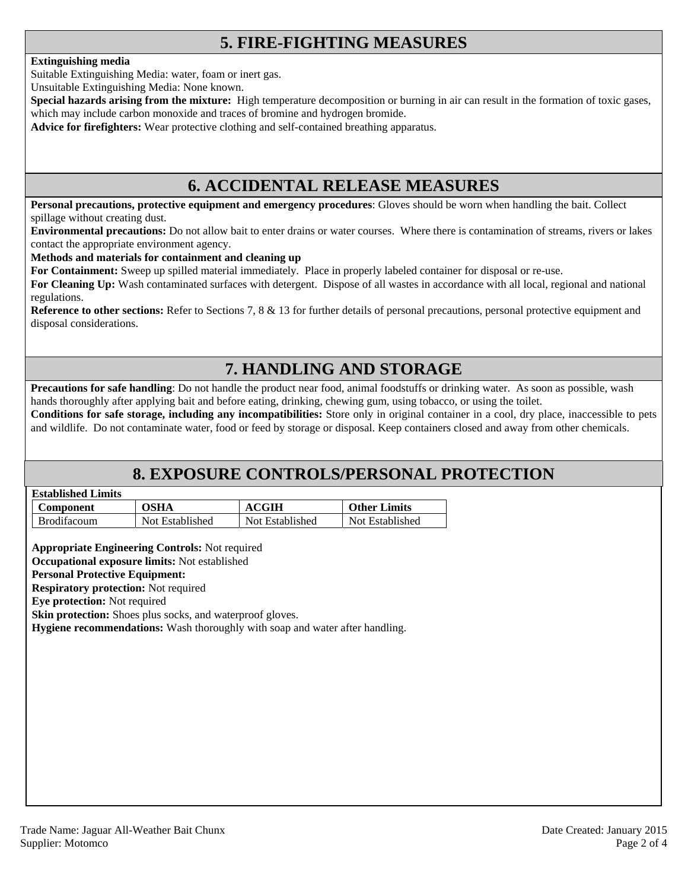### **5. FIRE-FIGHTING MEASURES**

#### **Extinguishing media**

Suitable Extinguishing Media: water, foam or inert gas.

Unsuitable Extinguishing Media: None known.

**Special hazards arising from the mixture:** High temperature decomposition or burning in air can result in the formation of toxic gases, which may include carbon monoxide and traces of bromine and hydrogen bromide.

**Advice for firefighters:** Wear protective clothing and self-contained breathing apparatus.

### **6. ACCIDENTAL RELEASE MEASURES**

**Personal precautions, protective equipment and emergency procedures**: Gloves should be worn when handling the bait. Collect spillage without creating dust.

**Environmental precautions:** Do not allow bait to enter drains or water courses. Where there is contamination of streams, rivers or lakes contact the appropriate environment agency.

#### **Methods and materials for containment and cleaning up**

**For Containment:** Sweep up spilled material immediately. Place in properly labeled container for disposal or re-use.

**For Cleaning Up:** Wash contaminated surfaces with detergent. Dispose of all wastes in accordance with all local, regional and national regulations.

**Reference to other sections:** Refer to Sections 7, 8 & 13 for further details of personal precautions, personal protective equipment and disposal considerations.

### **7. HANDLING AND STORAGE**

**Precautions for safe handling**: Do not handle the product near food, animal foodstuffs or drinking water. As soon as possible, wash hands thoroughly after applying bait and before eating, drinking, chewing gum, using tobacco, or using the toilet.

**Conditions for safe storage, including any incompatibilities:** Store only in original container in a cool, dry place, inaccessible to pets and wildlife. Do not contaminate water, food or feed by storage or disposal. Keep containers closed and away from other chemicals.

### **8. EXPOSURE CONTROLS/PERSONAL PROTECTION**

| <b>Established Limits</b> |
|---------------------------|
|                           |

| Component          | <b>OSHA</b>     | <b>ACGIH</b>    | <b>Other Limits</b> |
|--------------------|-----------------|-----------------|---------------------|
| <b>Brodifacoum</b> | Not Established | Not Established | Not Established     |

**Appropriate Engineering Controls:** Not required

**Occupational exposure limits:** Not established

#### **Personal Protective Equipment:**

**Respiratory protection:** Not required

**Eye protection:** Not required

**Skin protection:** Shoes plus socks, and waterproof gloves.

**Hygiene recommendations:** Wash thoroughly with soap and water after handling.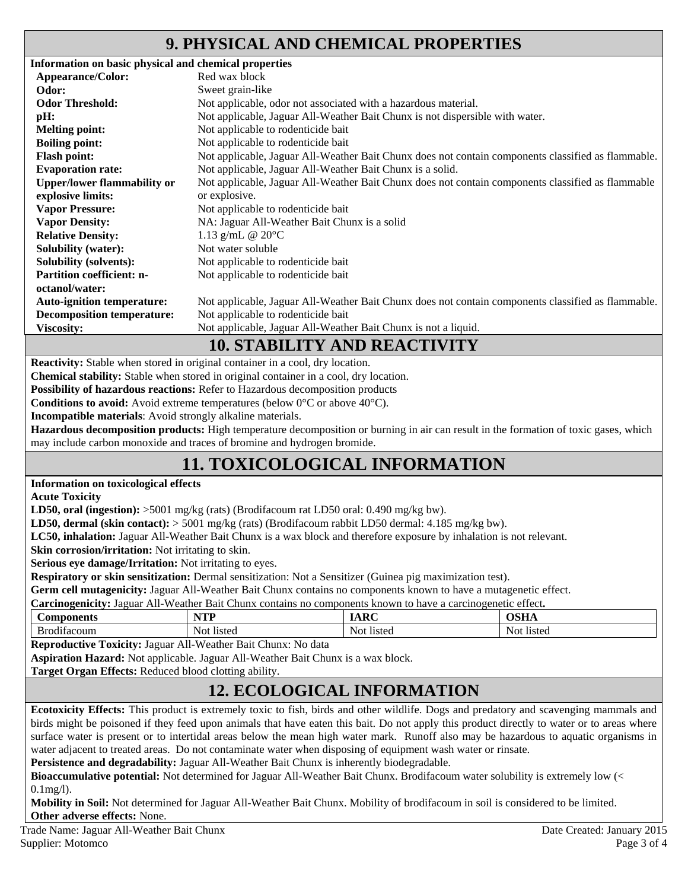### **9. PHYSICAL AND CHEMICAL PROPERTIES**

| Information on basic physical and chemical properties |                                                                                                    |
|-------------------------------------------------------|----------------------------------------------------------------------------------------------------|
| Appearance/Color:                                     | Red wax block                                                                                      |
| Odor:                                                 | Sweet grain-like                                                                                   |
| <b>Odor Threshold:</b>                                | Not applicable, odor not associated with a hazardous material.                                     |
| pH:                                                   | Not applicable, Jaguar All-Weather Bait Chunx is not dispersible with water.                       |
| <b>Melting point:</b>                                 | Not applicable to rodenticide bait                                                                 |
| <b>Boiling point:</b>                                 | Not applicable to rodenticide bait                                                                 |
| <b>Flash point:</b>                                   | Not applicable, Jaguar All-Weather Bait Chunx does not contain components classified as flammable. |
| <b>Evaporation rate:</b>                              | Not applicable, Jaguar All-Weather Bait Chunx is a solid.                                          |
| <b>Upper/lower flammability or</b>                    | Not applicable, Jaguar All-Weather Bait Chunx does not contain components classified as flammable  |
| explosive limits:                                     | or explosive.                                                                                      |
| <b>Vapor Pressure:</b>                                | Not applicable to rodenticide bait                                                                 |
| <b>Vapor Density:</b>                                 | NA: Jaguar All-Weather Bait Chunx is a solid                                                       |
| <b>Relative Density:</b>                              | 1.13 g/mL @ $20^{\circ}$ C                                                                         |
| <b>Solubility (water):</b>                            | Not water soluble                                                                                  |
| <b>Solubility (solvents):</b>                         | Not applicable to rodenticide bait                                                                 |
| <b>Partition coefficient: n-</b>                      | Not applicable to rodenticide bait                                                                 |
| octanol/water:                                        |                                                                                                    |
| <b>Auto-ignition temperature:</b>                     | Not applicable, Jaguar All-Weather Bait Chunx does not contain components classified as flammable. |
| <b>Decomposition temperature:</b>                     | Not applicable to rodenticide bait                                                                 |
| <b>Viscosity:</b>                                     | Not applicable, Jaguar All-Weather Bait Chunx is not a liquid.                                     |
|                                                       |                                                                                                    |

### **10. STABILITY AND REACTIVITY**

**Reactivity:** Stable when stored in original container in a cool, dry location.

**Chemical stability:** Stable when stored in original container in a cool, dry location.

**Possibility of hazardous reactions:** Refer to Hazardous decomposition products

**Conditions to avoid:** Avoid extreme temperatures (below 0°C or above 40°C).

**Incompatible materials**: Avoid strongly alkaline materials.

**Hazardous decomposition products:** High temperature decomposition or burning in air can result in the formation of toxic gases, which may include carbon monoxide and traces of bromine and hydrogen bromide.

# **11. TOXICOLOGICAL INFORMATION**

#### **Information on toxicological effects**

**Acute Toxicity** 

**LD50, oral (ingestion):** >5001 mg/kg (rats) (Brodifacoum rat LD50 oral: 0.490 mg/kg bw).

**LD50, dermal (skin contact):** > 5001 mg/kg (rats) (Brodifacoum rabbit LD50 dermal: 4.185 mg/kg bw).

**LC50, inhalation:** Jaguar All-Weather Bait Chunx is a wax block and therefore exposure by inhalation is not relevant.

**Skin corrosion/irritation:** Not irritating to skin.

**Serious eye damage/Irritation:** Not irritating to eyes.

**Respiratory or skin sensitization:** Dermal sensitization: Not a Sensitizer (Guinea pig maximization test).

**Germ cell mutagenicity:** Jaguar All-Weather Bait Chunx contains no components known to have a mutagenetic effect.

**Carcinogenicity:** Jaguar All-Weather Bait Chunx contains no components known to have a carcinogenetic effect**.** 

| ™onents<br>$\mathbf{a}$<br>∍∪п∙                        | WT<br>.             | $\sim$ $\sim$                       | $\sim$ $\sim$        |
|--------------------------------------------------------|---------------------|-------------------------------------|----------------------|
| . .<br>D<br>. Br<br>$\sim$ - - - $\sim$<br>rac<br>Juli | <b>listed</b><br>Nο | 10 ta<br>$N$ $\alpha$ t<br>'NGC<br> | <b>listec</b><br>חצו |

**Reproductive Toxicity:** Jaguar All-Weather Bait Chunx: No data

**Aspiration Hazard:** Not applicable. Jaguar All-Weather Bait Chunx is a wax block.

**Target Organ Effects:** Reduced blood clotting ability.

# **12. ECOLOGICAL INFORMATION**

**Ecotoxicity Effects:** This product is extremely toxic to fish, birds and other wildlife. Dogs and predatory and scavenging mammals and birds might be poisoned if they feed upon animals that have eaten this bait. Do not apply this product directly to water or to areas where surface water is present or to intertidal areas below the mean high water mark. Runoff also may be hazardous to aquatic organisms in water adjacent to treated areas. Do not contaminate water when disposing of equipment wash water or rinsate.

**Persistence and degradability:** Jaguar All-Weather Bait Chunx is inherently biodegradable.

**Bioaccumulative potential:** Not determined for Jaguar All-Weather Bait Chunx. Brodifacoum water solubility is extremely low (< 0.1mg/l).

**Mobility in Soil:** Not determined for Jaguar All-Weather Bait Chunx. Mobility of brodifacoum in soil is considered to be limited. **Other adverse effects:** None.